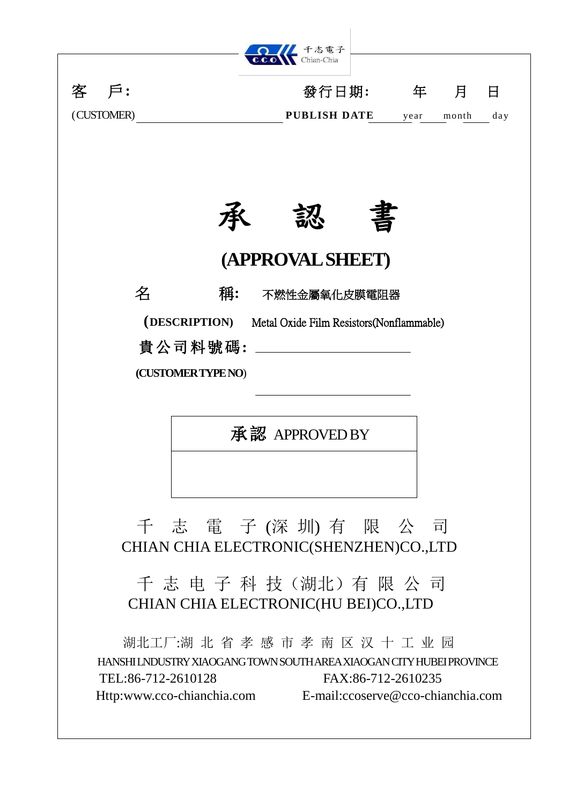

承認 APPROVED BY

千 志 電 子 (深 圳) 有 限 公 司 CHIAN CHIA ELECTRONIC(SHENZHEN)CO.,LTD

千 志 电 子 科 技(湖北)有限 公 司 CHIAN CHIA ELECTRONIC(HU BEI)CO.,LTD

湖北工厂:湖 北 省 孝 感 市 孝 南 区 汉 十 工 业 园 HANSHI LNDUSTRY XIAOGANG TOWN SOUTH AREA XIAOGAN CITY HUBEI PROVINCE TEL:86-712-2610128 FAX:86-712-2610235 Http:www.cco-chianchia.com E-mail[:ccoserve@cco-chianchia.com](mailto:ccoserve@cco-chianchia.com)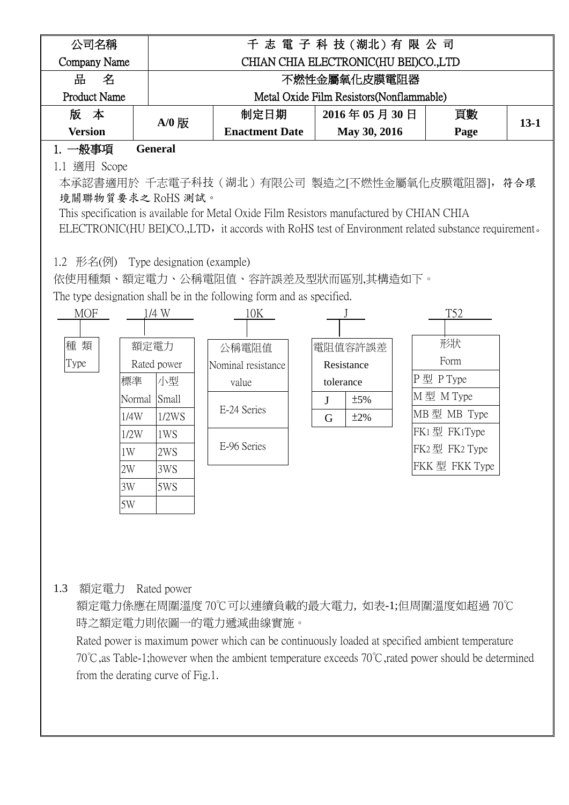| 公司名稱                                 |                   |                                                                       | 千志 電子科技(湖北)有限公司                                                                           |                                                                                                    |          |
|--------------------------------------|-------------------|-----------------------------------------------------------------------|-------------------------------------------------------------------------------------------|----------------------------------------------------------------------------------------------------|----------|
| Company Name                         |                   |                                                                       | CHIAN CHIA ELECTRONIC(HU BEI)CO.,LTD                                                      |                                                                                                    |          |
| 品<br>名                               |                   |                                                                       | 不燃性金屬氧化皮膜電阻器                                                                              |                                                                                                    |          |
| <b>Product Name</b>                  |                   |                                                                       | Metal Oxide Film Resistors (Nonflammable)                                                 |                                                                                                    |          |
| 版本                                   | A/0 版             | 制定日期                                                                  | 2016年05月30日                                                                               | 頁數                                                                                                 | $13 - 1$ |
| <b>Version</b>                       |                   | <b>Enactment Date</b>                                                 | May 30, 2016                                                                              | Page                                                                                               |          |
| 1. 一般事項                              | <b>General</b>    |                                                                       |                                                                                           |                                                                                                    |          |
| 1.1 適用 Scope                         |                   |                                                                       |                                                                                           |                                                                                                    |          |
|                                      |                   |                                                                       |                                                                                           | 本承認書適用於 千志電子科技(湖北)有限公司 製造之[不燃性金屬氧化皮膜電阻器],符合環                                                       |          |
|                                      | 境關聯物質要求之 RoHS 測試。 |                                                                       |                                                                                           |                                                                                                    |          |
|                                      |                   |                                                                       | This specification is available for Metal Oxide Film Resistors manufactured by CHIAN CHIA |                                                                                                    |          |
|                                      |                   |                                                                       |                                                                                           | ELECTRONIC(HU BEI)CO.,LTD, it accords with RoHS test of Environment related substance requirement. |          |
|                                      |                   |                                                                       |                                                                                           |                                                                                                    |          |
| 1.2 形名(例) Type designation (example) |                   |                                                                       |                                                                                           |                                                                                                    |          |
|                                      |                   |                                                                       | 依使用種類、額定電力、公稱電阻值、容許誤差及型狀而區別,其構造如下。                                                        |                                                                                                    |          |
|                                      |                   | The type designation shall be in the following form and as specified. |                                                                                           |                                                                                                    |          |
| <b>MOF</b>                           | 1/4 W             | 10K                                                                   |                                                                                           | T52                                                                                                |          |
|                                      |                   |                                                                       |                                                                                           |                                                                                                    |          |
| 種 類                                  | 額定電力              | 公稱電阻值                                                                 | 電阻值容許誤差                                                                                   | 形狀                                                                                                 |          |
| Type                                 | Rated power       | Nominal resistance                                                    | Resistance                                                                                | Form                                                                                               |          |
|                                      | 標準<br>小型          | value                                                                 | tolerance                                                                                 | P型 P Type                                                                                          |          |
|                                      | Normal Small      |                                                                       | ±5%<br>$\mathbf{J}$                                                                       | M型 M Type                                                                                          |          |
|                                      | 1/4W<br>1/2WS     | E-24 Series                                                           | ±2%<br>G                                                                                  | MB型 MB Type                                                                                        |          |
|                                      | 1/2W<br>1WS       |                                                                       |                                                                                           | FK1型 FK1Type                                                                                       |          |
| 1W                                   | 2WS               | E-96 Series                                                           |                                                                                           | FK2型 FK2 Type                                                                                      |          |
| 2W                                   | 3WS               |                                                                       |                                                                                           | FKK型 FKK Type                                                                                      |          |
| 3W                                   | 5WS               |                                                                       |                                                                                           |                                                                                                    |          |
| 5W                                   |                   |                                                                       |                                                                                           |                                                                                                    |          |
|                                      |                   |                                                                       |                                                                                           |                                                                                                    |          |

1.3 額定電力 Rated power

額定電力係應在周圍溫度 70℃可以連續負載的最大電力, 如表-1;但周圍溫度如超過 70℃ 時之額定電力則依圖一的電力遞減曲線實施。

Rated power is maximum power which can be continuously loaded at specified ambient temperature 70℃,as Table-1;however when the ambient temperature exceeds 70℃,rated power should be determined from the derating curve of Fig.1.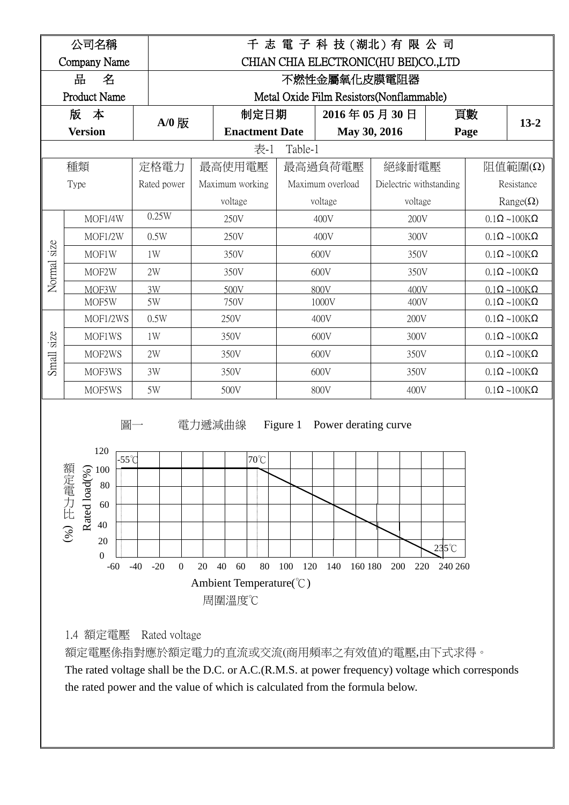



 額定電壓係指對應於額定電力的直流或交流(商用頻率之有效值)的電壓,由下式求得。 The rated voltage shall be the D.C. or A.C.(R.M.S. at power frequency) voltage which corresponds the rated power and the value of which is calculated from the formula below.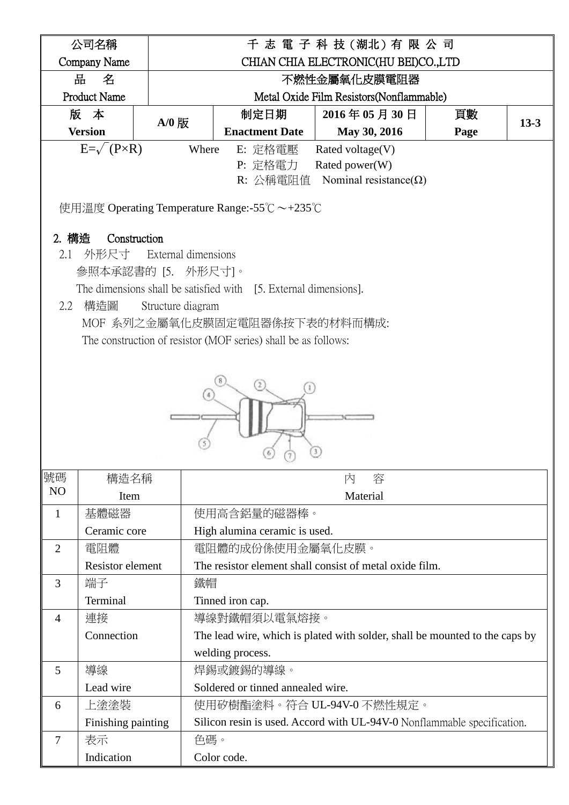|                | 公司名稱                                         |                                           |                                                                  | 千 志 電 子 科 技 (湖北) 有 限 公 司                                                    |      |          |  |  |  |
|----------------|----------------------------------------------|-------------------------------------------|------------------------------------------------------------------|-----------------------------------------------------------------------------|------|----------|--|--|--|
|                | Company Name                                 |                                           |                                                                  | CHIAN CHIA ELECTRONIC(HU BEI)CO.,LTD                                        |      |          |  |  |  |
|                | 品<br>名                                       |                                           |                                                                  | 不燃性金屬氧化皮膜電阻器                                                                |      |          |  |  |  |
|                | <b>Product Name</b>                          |                                           |                                                                  | Metal Oxide Film Resistors (Nonflammable)                                   |      |          |  |  |  |
|                | 版 本                                          |                                           | 制定日期                                                             | 2016年05月30日                                                                 | 頁數   |          |  |  |  |
|                | <b>Version</b>                               | $A/0$ 版                                   | <b>Enactment Date</b>                                            | May 30, 2016                                                                | Page | $13 - 3$ |  |  |  |
|                | $E=\sqrt{P\times R}$                         | Where                                     | E: 定格電壓                                                          | Rated voltage(V)                                                            |      |          |  |  |  |
|                |                                              |                                           | P: 定格電力                                                          | Rated power(W)                                                              |      |          |  |  |  |
|                | R: 公稱電阻值 Nominal resistance( $\Omega$ )      |                                           |                                                                  |                                                                             |      |          |  |  |  |
|                | 使用溫度 Operating Temperature Range:-55℃ ~+235℃ |                                           |                                                                  |                                                                             |      |          |  |  |  |
| 2. 構造<br>2.1   | Construction<br>外形尺寸                         | External dimensions<br>參照本承認書的 [5. 外形尺寸]。 | The dimensions shall be satisfied with [5. External dimensions]. |                                                                             |      |          |  |  |  |
| 2.2            | 構造圖                                          | Structure diagram                         |                                                                  |                                                                             |      |          |  |  |  |
|                |                                              |                                           | MOF 系列之金屬氧化皮膜固定電阻器係按下表的材料而構成:                                    |                                                                             |      |          |  |  |  |
|                |                                              |                                           | The construction of resistor (MOF series) shall be as follows:   |                                                                             |      |          |  |  |  |
|                |                                              |                                           |                                                                  |                                                                             |      |          |  |  |  |
|                |                                              |                                           |                                                                  |                                                                             |      |          |  |  |  |
| 號碼             | 構造名稱                                         |                                           |                                                                  | 容<br>內                                                                      |      |          |  |  |  |
| N <sub>O</sub> | Item                                         |                                           |                                                                  | Material                                                                    |      |          |  |  |  |
| 1              | 基體磁器                                         |                                           | 使用高含鋁量的磁器棒。                                                      |                                                                             |      |          |  |  |  |
|                | Ceramic core                                 |                                           | High alumina ceramic is used.                                    |                                                                             |      |          |  |  |  |
| $\overline{2}$ | 電阻體                                          |                                           | 電阻體的成份係使用金屬氧化皮膜。                                                 |                                                                             |      |          |  |  |  |
|                | Resistor element                             |                                           |                                                                  | The resistor element shall consist of metal oxide film.                     |      |          |  |  |  |
| 3              | 端子                                           | 鐵帽                                        |                                                                  |                                                                             |      |          |  |  |  |
|                | Terminal                                     |                                           | Tinned iron cap.                                                 |                                                                             |      |          |  |  |  |
| 4              | 連接                                           |                                           | 導線對鐵帽須以電氣熔接。                                                     |                                                                             |      |          |  |  |  |
|                | Connection                                   |                                           |                                                                  | The lead wire, which is plated with solder, shall be mounted to the caps by |      |          |  |  |  |
|                |                                              |                                           | welding process.                                                 |                                                                             |      |          |  |  |  |
| 5              | 導線                                           |                                           | 焊錫或鍍錫的導線。                                                        |                                                                             |      |          |  |  |  |
|                | Lead wire                                    |                                           | Soldered or tinned annealed wire.                                |                                                                             |      |          |  |  |  |
| 6              | 上塗塗裝                                         |                                           |                                                                  | 使用矽樹酯塗料。符合 UL-94V-0 不燃性規定。                                                  |      |          |  |  |  |
|                | Finishing painting                           |                                           |                                                                  | Silicon resin is used. Accord with UL-94V-0 Nonflammable specification.     |      |          |  |  |  |
| $\overline{7}$ | 表示                                           | 色碼。                                       |                                                                  |                                                                             |      |          |  |  |  |
|                | Indication                                   |                                           | Color code.                                                      |                                                                             |      |          |  |  |  |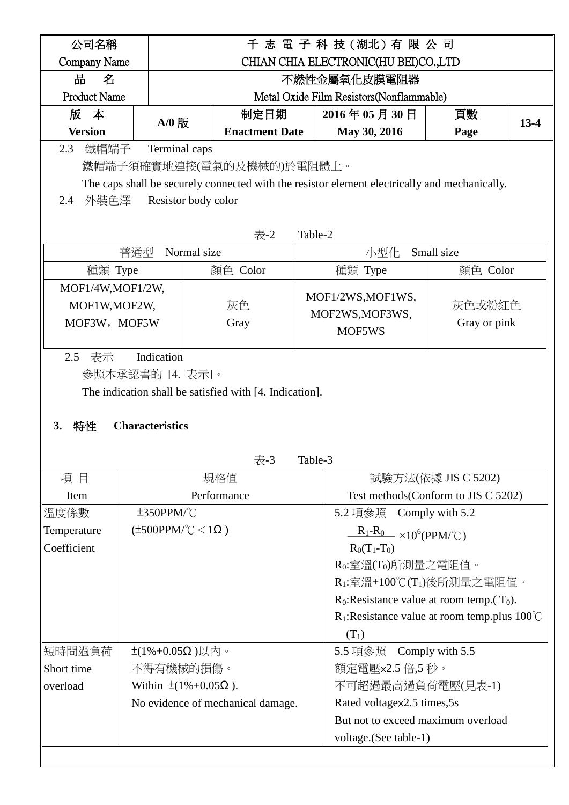| 公司名稱                |                                 |                                                         |         | 千志 電子科技(湖北)有限公司                                                                               |                     |        |  |
|---------------------|---------------------------------|---------------------------------------------------------|---------|-----------------------------------------------------------------------------------------------|---------------------|--------|--|
| Company Name        |                                 |                                                         |         | CHIAN CHIA ELECTRONIC(HU BEI)CO.,LTD                                                          |                     |        |  |
| 品<br>名              |                                 |                                                         |         | 不燃性金屬氧化皮膜電阻器                                                                                  |                     |        |  |
| <b>Product Name</b> |                                 |                                                         |         | Metal Oxide Film Resistors (Nonflammable)                                                     |                     |        |  |
| 版<br>本              |                                 | 制定日期                                                    |         | 2016年05月30日                                                                                   | 頁數                  |        |  |
| <b>Version</b>      | $A/0$ 版                         | <b>Enactment Date</b>                                   |         | May 30, 2016                                                                                  | Page                | $13-4$ |  |
| 2.3<br>鐵帽端子         | Terminal caps                   |                                                         |         |                                                                                               |                     |        |  |
|                     |                                 | 鐵帽端子須確實地連接(電氣的及機械的)於電阻體上。                               |         |                                                                                               |                     |        |  |
|                     |                                 |                                                         |         | The caps shall be securely connected with the resistor element electrically and mechanically. |                     |        |  |
| 外裝色澤<br>2.4         | Resistor body color             |                                                         |         |                                                                                               |                     |        |  |
|                     |                                 |                                                         |         |                                                                                               |                     |        |  |
|                     |                                 | 表-2                                                     |         | Table-2                                                                                       |                     |        |  |
|                     | 普通型<br>Normal size              |                                                         |         | 小型化                                                                                           | Small size          |        |  |
| 種類 Type             |                                 | 顏色 Color                                                |         | 種類 Type                                                                                       | 顏色 Color            |        |  |
| MOF1/4W, MOF1/2W,   |                                 |                                                         |         |                                                                                               |                     |        |  |
| MOF1W, MOF2W,       |                                 | 灰色                                                      |         | MOF1/2WS, MOF1WS,                                                                             | 灰色或粉紅色              |        |  |
| MOF3W, MOF5W        |                                 | Gray                                                    |         | MOF2WS, MOF3WS,                                                                               | Gray or pink        |        |  |
|                     |                                 |                                                         |         | MOF5WS                                                                                        |                     |        |  |
| 表示<br>2.5           | Indication                      |                                                         |         |                                                                                               |                     |        |  |
|                     | 參照本承認書的 [4. 表示]。                |                                                         |         |                                                                                               |                     |        |  |
|                     |                                 | The indication shall be satisfied with [4. Indication]. |         |                                                                                               |                     |        |  |
|                     |                                 |                                                         |         |                                                                                               |                     |        |  |
| 特性<br>3.            | <b>Characteristics</b>          |                                                         |         |                                                                                               |                     |        |  |
|                     |                                 |                                                         |         |                                                                                               |                     |        |  |
|                     |                                 | 表-3                                                     | Table-3 |                                                                                               |                     |        |  |
| 項目                  |                                 | 規格值                                                     |         |                                                                                               | 試驗方法(依據 JIS C 5202) |        |  |
| Item                |                                 | Performance                                             |         | Test methods (Conform to JIS C 5202)                                                          |                     |        |  |
| 溫度係數                | $±350$ PPM/ $°C$                |                                                         |         | 5.2 項參照                                                                                       | Comply with 5.2     |        |  |
| Temperature         | $(\pm 500$ PPM/°C $< 1\Omega$ ) |                                                         |         | $\frac{R_1-R_0}{\sqrt{1-\frac{1}{2}}}\times 10^6(PPM^{\circ}\text{C})$                        |                     |        |  |
| Coefficient         |                                 |                                                         |         | $R_0(T_1-T_0)$                                                                                |                     |        |  |
|                     |                                 |                                                         |         | $R_0$ :室溫(T $_0$ )所測量之電阻值。                                                                    |                     |        |  |
|                     |                                 |                                                         |         | $R_1: \tilde{\Xi} \tilde{\Xi} + 100^\circ C(T_1)$ 後所測量之電阻值。                                   |                     |        |  |
|                     |                                 |                                                         |         | $R_0$ : Resistance value at room temp. $(T_0)$ .                                              |                     |        |  |
|                     |                                 |                                                         |         | $R_1$ : Resistance value at room temp.plus 100°C                                              |                     |        |  |
|                     |                                 |                                                         |         | $(T_1)$                                                                                       |                     |        |  |
| 短時間過負荷              | $\pm$ (1%+0.05Ω)以内。             |                                                         |         | 5.5 項參照 Comply with 5.5                                                                       |                     |        |  |
| Short time          | 不得有機械的損傷。                       |                                                         |         | 額定電壓x2.5 倍,5 秒。                                                                               |                     |        |  |
| overload            | Within $\pm(1\% + 0.05Ω)$ .     |                                                         |         | 不可超過最高過負荷電壓(見表-1)                                                                             |                     |        |  |
|                     |                                 | No evidence of mechanical damage.                       |         | Rated voltagex2.5 times,5s                                                                    |                     |        |  |
|                     |                                 |                                                         |         | But not to exceed maximum overload                                                            |                     |        |  |
|                     |                                 |                                                         |         | voltage. (See table-1)                                                                        |                     |        |  |
|                     |                                 |                                                         |         |                                                                                               |                     |        |  |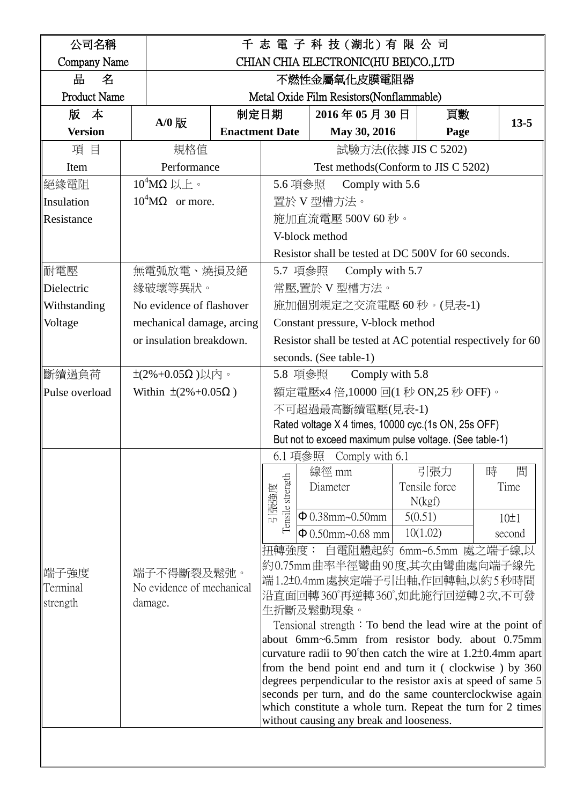| 公司名稱                |         |                                                                    |                       |                          |                   | 千志 電 子 科 技 (湖北) 有 限 公 司                                                                                                   |               |   |          |
|---------------------|---------|--------------------------------------------------------------------|-----------------------|--------------------------|-------------------|---------------------------------------------------------------------------------------------------------------------------|---------------|---|----------|
| Company Name        |         |                                                                    |                       |                          |                   | CHIAN CHIA ELECTRONIC(HU BEI)CO.,LTD                                                                                      |               |   |          |
| 굠<br>名              |         |                                                                    |                       |                          |                   | 不燃性金屬氧化皮膜電阻器                                                                                                              |               |   |          |
| <b>Product Name</b> |         |                                                                    |                       |                          |                   | Metal Oxide Film Resistors (Nonflammable)                                                                                 |               |   |          |
| 版本                  |         | $A/0$ 版                                                            | 制定日期                  |                          |                   | 2016年05月30日                                                                                                               | 頁數            |   | $13 - 5$ |
| <b>Version</b>      |         |                                                                    | <b>Enactment Date</b> |                          |                   | May 30, 2016                                                                                                              | Page          |   |          |
| 項目                  |         | 規格值                                                                |                       |                          |                   | 試驗方法(依據 JIS C 5202)                                                                                                       |               |   |          |
| Item                |         | Performance                                                        |                       |                          |                   | Test methods (Conform to JIS C 5202)                                                                                      |               |   |          |
| 絕緣電阻                |         | $10^4$ ΜΩ 以上。                                                      |                       | 5.6 項參照                  |                   | Comply with 5.6                                                                                                           |               |   |          |
| Insulation          |         | $10^4$ M $\Omega$ or more.                                         |                       |                          | 置於 V 型槽方法。        |                                                                                                                           |               |   |          |
| Resistance          |         |                                                                    |                       |                          | 施加直流電壓 500V 60 秒。 |                                                                                                                           |               |   |          |
|                     |         |                                                                    |                       |                          |                   | V-block method                                                                                                            |               |   |          |
|                     |         |                                                                    |                       |                          |                   | Resistor shall be tested at DC 500V for 60 seconds.                                                                       |               |   |          |
| 耐電壓                 |         | 無電弧放電、燒損及絕                                                         |                       | 5.7 項參照                  |                   | Comply with 5.7                                                                                                           |               |   |          |
| Dielectric          |         | 緣破壞等異狀。                                                            |                       |                          |                   | 常壓,置於 V 型槽方法。                                                                                                             |               |   |          |
| Withstanding        |         | No evidence of flashover                                           |                       |                          |                   | 施加個別規定之交流電壓60秒。(見表-1)                                                                                                     |               |   |          |
| Voltage             |         | mechanical damage, arcing<br>Constant pressure, V-block method     |                       |                          |                   |                                                                                                                           |               |   |          |
|                     |         | or insulation breakdown.                                           |                       |                          |                   | Resistor shall be tested at AC potential respectively for 60                                                              |               |   |          |
|                     |         |                                                                    |                       |                          |                   | seconds. (See table-1)                                                                                                    |               |   |          |
| 斷續過負荷               |         | $\pm$ (2%+0.05Ω)以内。                                                |                       | 5.8 項參照                  |                   | Comply with 5.8                                                                                                           |               |   |          |
| Pulse overload      |         | 額定電壓x4 倍,10000 回(1 秒 ON,25 秒 OFF)。<br>Within $\pm(2\%+0.05\Omega)$ |                       |                          |                   |                                                                                                                           |               |   |          |
|                     |         |                                                                    |                       |                          |                   | 不可超過最高斷續電壓(見表-1)                                                                                                          |               |   |          |
|                     |         |                                                                    |                       |                          |                   | Rated voltage X 4 times, 10000 cyc. (1s ON, 25s OFF)                                                                      |               |   |          |
|                     |         |                                                                    |                       |                          |                   | But not to exceed maximum pulse voltage. (See table-1)                                                                    |               |   |          |
|                     |         |                                                                    |                       | 6.1 項參照                  |                   | Comply with 6.1                                                                                                           | 引張力           | 時 | 間        |
|                     |         |                                                                    |                       |                          |                   | 線徑 mm<br>Diameter                                                                                                         | Tensile force |   | Time     |
|                     |         |                                                                    |                       |                          |                   |                                                                                                                           | N(kgf)        |   |          |
|                     |         |                                                                    |                       | Tensile strength<br>引張強度 |                   | $\Phi$ 0.38mm~0.50mm                                                                                                      | 5(0.51)       |   | 10±1     |
|                     |         |                                                                    |                       |                          |                   | $\Phi$ 0.50mm~0.68 mm                                                                                                     | 10(1.02)      |   | second   |
|                     |         |                                                                    |                       |                          |                   | 扭轉強度: 自電阻體起約 6mm~6.5mm 處之端子線,以                                                                                            |               |   |          |
| 端子強度                |         | 端子不得斷裂及鬆弛。                                                         |                       |                          |                   | 約0.75mm 曲率半徑彎曲90度,其次由彎曲處向端子線先                                                                                             |               |   |          |
| Terminal            |         | No evidence of mechanical                                          |                       |                          |                   | 端1.2±0.4mm處挾定端子引出軸,作回轉軸,以約5秒時間                                                                                            |               |   |          |
| strength            | damage. |                                                                    |                       |                          |                   | 沿直面回轉360°再逆轉360°,如此施行回逆轉2次,不可發<br>生折斷及鬆動現象。                                                                               |               |   |          |
|                     |         |                                                                    |                       |                          |                   | Tensional strength $\colon$ To bend the lead wire at the point of                                                         |               |   |          |
|                     |         |                                                                    |                       |                          |                   | about 6mm~6.5mm from resistor body. about 0.75mm                                                                          |               |   |          |
|                     |         |                                                                    |                       |                          |                   | curvature radii to 90 <sup>°</sup> then catch the wire at 1.2 $\pm$ 0.4mm apart                                           |               |   |          |
|                     |         |                                                                    |                       |                          |                   | from the bend point end and turn it (clockwise) by 360                                                                    |               |   |          |
|                     |         |                                                                    |                       |                          |                   | degrees perpendicular to the resistor axis at speed of same 5<br>seconds per turn, and do the same counterclockwise again |               |   |          |
|                     |         |                                                                    |                       |                          |                   | which constitute a whole turn. Repeat the turn for 2 times                                                                |               |   |          |
|                     |         |                                                                    |                       |                          |                   | without causing any break and looseness.                                                                                  |               |   |          |
|                     |         |                                                                    |                       |                          |                   |                                                                                                                           |               |   |          |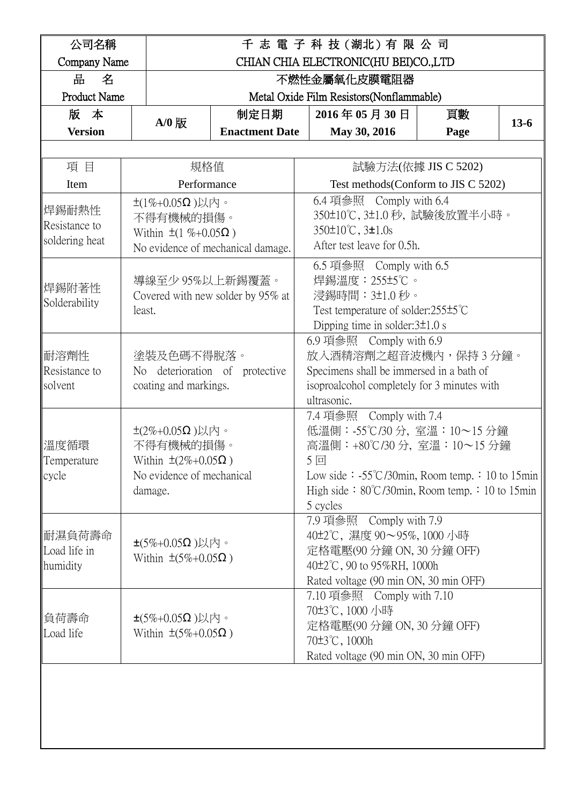| 公司名稱                                     | 千 志 電 子 科 技 (湖北) 有 限 公 司                                                                                |                                |                                                                                                                                                        |                                                                                                                                                                                                                             |                     |        |  |
|------------------------------------------|---------------------------------------------------------------------------------------------------------|--------------------------------|--------------------------------------------------------------------------------------------------------------------------------------------------------|-----------------------------------------------------------------------------------------------------------------------------------------------------------------------------------------------------------------------------|---------------------|--------|--|
| Company Name                             |                                                                                                         |                                |                                                                                                                                                        | CHIAN CHIA ELECTRONIC(HU BEI)CO.,LTD                                                                                                                                                                                        |                     |        |  |
| 品<br>名                                   |                                                                                                         |                                |                                                                                                                                                        | 不燃性金屬氧化皮膜電阻器                                                                                                                                                                                                                |                     |        |  |
| <b>Product Name</b>                      |                                                                                                         |                                |                                                                                                                                                        | Metal Oxide Film Resistors (Nonflammable)                                                                                                                                                                                   |                     |        |  |
| 版 本                                      |                                                                                                         | 制定日期                           |                                                                                                                                                        | 2016年05月30日                                                                                                                                                                                                                 | 頁數                  |        |  |
| <b>Version</b>                           | $A/0$ 版                                                                                                 | <b>Enactment Date</b>          |                                                                                                                                                        | May 30, 2016                                                                                                                                                                                                                | Page                | $13-6$ |  |
|                                          |                                                                                                         |                                |                                                                                                                                                        |                                                                                                                                                                                                                             |                     |        |  |
| 項目                                       | 規格值                                                                                                     |                                |                                                                                                                                                        |                                                                                                                                                                                                                             | 試驗方法(依據 JIS C 5202) |        |  |
| Item                                     | Performance                                                                                             |                                |                                                                                                                                                        | Test methods (Conform to JIS C 5202)                                                                                                                                                                                        |                     |        |  |
| 焊錫耐熱性<br>Resistance to<br>soldering heat | $\pm$ (1%+0.05Ω)以内。<br>不得有機械的損傷。<br>Within $\pm(1\% + 0.05\Omega)$<br>No evidence of mechanical damage. |                                | 6.4 項參照 Comply with 6.4<br>350±10℃, 3±1.0 秒, 試驗後放置半小時。<br>$350\pm10^{\circ}$ C, $3\pm1.0s$<br>After test leave for 0.5h.                               |                                                                                                                                                                                                                             |                     |        |  |
| 焊錫附著性<br>Solderability                   | 導線至少 95%以上新錫覆蓋。<br>Covered with new solder by 95% at<br>least.                                          |                                |                                                                                                                                                        | 6.5 項參照 Comply with 6.5<br>焊錫溫度:255±5℃。<br>浸錫時間:3±1.0秒。<br>Test temperature of solder: $255\pm5^{\circ}$ C<br>Dipping time in solder: $3\pm1.0$ s                                                                           |                     |        |  |
| 耐溶劑性<br>Resistance to<br>solvent         | 塗裝及色碼不得脫落。<br>coating and markings.                                                                     | No deterioration of protective |                                                                                                                                                        | 6.9 項參照 Comply with 6.9<br>放入酒精溶劑之超音波機內,保持3分鐘。<br>Specimens shall be immersed in a bath of<br>isoproalcohol completely for 3 minutes with<br>ultrasonic.                                                                    |                     |        |  |
| 溫度循環<br>∥Temperature<br>cycle            | $±$ (2%+0.05Ω)以内。<br>不得有機械的損傷。<br>Within $\pm(2\%+0.05\Omega)$<br>No evidence of mechanical<br>damage.  |                                |                                                                                                                                                        | 7.4 項參照 Comply with 7.4<br>低溫側: -55℃/30分, 室溫: 10~15分鐘<br>高溫側:+80℃/30分, 室溫:10~15分鐘<br>5回<br>Low side: $-55^{\circ}C/30$ min, Room temp.: 10 to 15min<br>High side: $80^{\circ}C/30$ min, Room temp.: 10 to 15min<br>5 cycles |                     |        |  |
| ∥耐濕負荷壽命<br>Load life in<br>humidity      | $\pm$ (5%+0.05 $\Omega$ )以内。<br>Within $\pm(5\%+0.05\Omega)$                                            |                                | 7.9 項參照 Comply with 7.9<br>40±2℃, 濕度 90~95%, 1000 小時<br>定格電壓(90分鐘 ON, 30分鐘 OFF)<br>40±2°C, 90 to 95%RH, 1000h<br>Rated voltage (90 min ON, 30 min OFF) |                                                                                                                                                                                                                             |                     |        |  |
| 負荷壽命<br>Load life                        | $\pm$ (5%+0.05 $\Omega$ )以内。<br>Within $\pm(5\%+0.05\Omega)$                                            |                                |                                                                                                                                                        | 7.10 項參照 Comply with 7.10<br>70±3℃, 1000 小時<br>定格電壓(90分鐘 ON, 30分鐘 OFF)<br>70±3°C, 1000h<br>Rated voltage (90 min ON, 30 min OFF)                                                                                            |                     |        |  |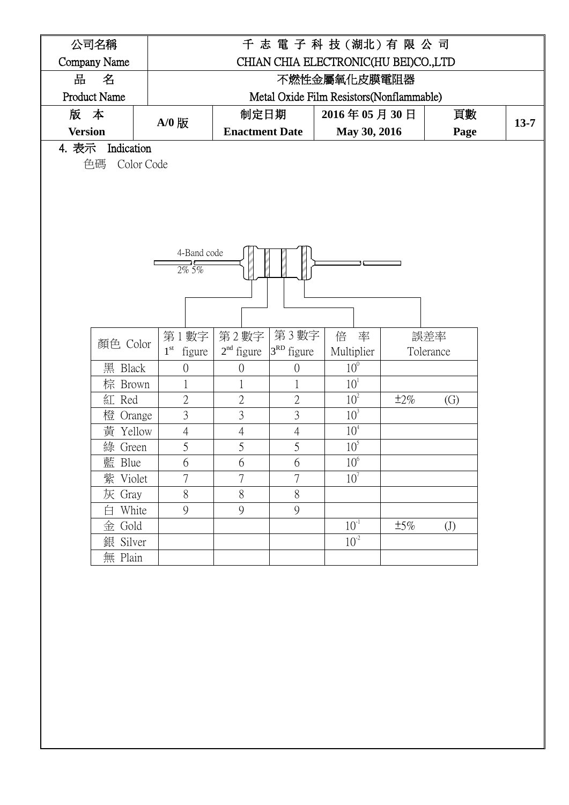| 公司名稱                |            |                        |                       |                           | 千志 電 子 科 技 (湖北) 有 限 公 司                   |           |                   |  |
|---------------------|------------|------------------------|-----------------------|---------------------------|-------------------------------------------|-----------|-------------------|--|
| Company Name        |            |                        |                       |                           | CHIAN CHIA ELECTRONIC(HU BEI)CO.,LTD      |           |                   |  |
| 굠<br>名              |            |                        |                       |                           | 不燃性金屬氧化皮膜電阻器                              |           |                   |  |
| <b>Product Name</b> |            |                        |                       |                           | Metal Oxide Film Resistors (Nonflammable) |           |                   |  |
| 版 本                 |            |                        |                       | 制定日期<br>2016年05月30日<br>頁數 |                                           |           |                   |  |
| <b>Version</b>      | A/0 版      |                        | <b>Enactment Date</b> |                           | May 30, 2016                              |           | Page              |  |
| 4. 表示               | Indication |                        |                       |                           |                                           |           |                   |  |
| 色碼                  | Color Code |                        |                       |                           |                                           |           |                   |  |
|                     |            |                        |                       |                           |                                           |           |                   |  |
|                     |            |                        |                       |                           |                                           |           |                   |  |
|                     |            |                        |                       |                           |                                           |           |                   |  |
|                     |            |                        |                       |                           |                                           |           |                   |  |
|                     |            |                        |                       |                           |                                           |           |                   |  |
|                     |            | 4-Band code            |                       |                           |                                           |           |                   |  |
|                     |            | $\frac{1}{2\%}$ 5%     |                       |                           |                                           |           |                   |  |
|                     |            |                        |                       |                           |                                           |           |                   |  |
|                     |            |                        |                       |                           |                                           |           |                   |  |
|                     |            |                        |                       |                           |                                           |           |                   |  |
|                     |            | 第1數字                   | 第2數字                  | 第3數字                      | 倍 率                                       |           | 誤差率               |  |
|                     | 顏色 Color   | $1^{\rm st}$<br>figure | $2nd$ figure          | 3 <sup>RD</sup> figure    | Multiplier                                |           | Tolerance         |  |
|                     | 黑 Black    | $\overline{0}$         | 0                     | $\overline{0}$            | 10 <sup>0</sup>                           |           |                   |  |
|                     | 棕 Brown    |                        | 1                     | $\mathbf 1$               | 10 <sup>1</sup>                           |           |                   |  |
|                     | 紅 Red      | $\overline{2}$         | $\overline{2}$        | $\overline{2}$            | 10 <sup>2</sup>                           | $\pm 2\%$ | $\left( G\right)$ |  |
|                     | 橙 Orange   | 3                      | 3                     | $\mathfrak{Z}$            | 10 <sup>3</sup>                           |           |                   |  |
| 黃                   | Yellow     | $\overline{4}$         | $\overline{4}$        | $\overline{4}$            | 10 <sup>4</sup>                           |           |                   |  |
|                     | 綠 Green    | 5                      | 5                     | 5                         | 10 <sup>5</sup>                           |           |                   |  |
|                     | 藍 Blue     | 6                      | 6                     | 6                         | 10 <sup>6</sup>                           |           |                   |  |
|                     | 紫 Violet   | 7                      | 7                     | $\overline{7}$            | 10 <sup>7</sup>                           |           |                   |  |
|                     | 灰 Gray     | $8\,$                  | $8\,$                 | $8\,$                     |                                           |           |                   |  |
|                     | 白 White    | 9                      | 9                     | 9                         |                                           |           |                   |  |
|                     | 金 Gold     |                        |                       |                           | $10^{-1}$                                 | $\pm 5\%$ | (J)               |  |
|                     | 銀 Silver   |                        |                       |                           | $10^{-2}$                                 |           |                   |  |
|                     | 無 Plain    |                        |                       |                           |                                           |           |                   |  |
|                     |            |                        |                       |                           |                                           |           |                   |  |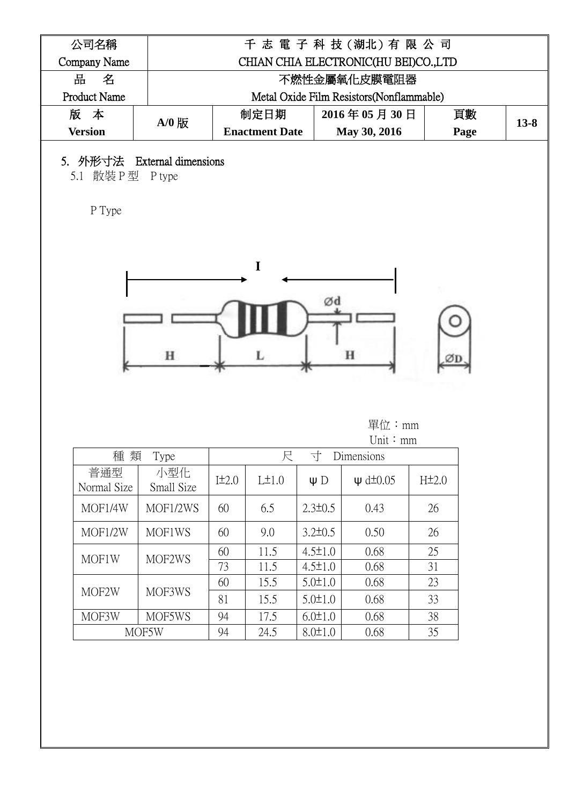| 公司名稱                |         | 千志 電子科技 (湖北) 有限公司                         |              |      |          |  |  |  |
|---------------------|---------|-------------------------------------------|--------------|------|----------|--|--|--|
| Company Name        |         | CHIAN CHIA ELECTRONIC(HU BEI)CO.,LTD      |              |      |          |  |  |  |
| 品<br>名              |         | 不燃性金屬氧化皮膜電阻器                              |              |      |          |  |  |  |
| <b>Product Name</b> |         | Metal Oxide Film Resistors (Nonflammable) |              |      |          |  |  |  |
| 版 本                 | $A/0$ 版 | 制定日期                                      | 2016年05月30日  | 頁數   |          |  |  |  |
| <b>Version</b>      |         | <b>Enactment Date</b>                     | May 30, 2016 | Page | $13 - 8$ |  |  |  |

## 5. 外形寸法 External dimensions

5.1 散裝 P 型 P type

P Type



## 單位:mm

| Unit: $mm$         |                   |            |       |               |                     |                    |  |
|--------------------|-------------------|------------|-------|---------------|---------------------|--------------------|--|
| 種<br>類             | Type              |            | 尺     | 寸             | Dimensions          |                    |  |
| 普通型<br>Normal Size | 小型化<br>Small Size | $I\pm 2.0$ | L±1.0 | $\Psi$ D      | $\psi$ d $\pm$ 0.05 | H <sup>±</sup> 2.0 |  |
| MOF1/4W            | MOF1/2WS          | 60         | 6.5   | $2.3 \pm 0.5$ | 0.43                | 26                 |  |
| MOF1/2W            | <b>MOF1WS</b>     | 60         | 9.0   | $3.2 \pm 0.5$ | 0.50                | 26                 |  |
| MOF1W              | MOF2WS            | 60         | 11.5  | $4.5 \pm 1.0$ | 0.68                | 25                 |  |
|                    |                   | 73         | 11.5  | $4.5 \pm 1.0$ | 0.68                | 31                 |  |
|                    |                   | 60         | 15.5  | $5.0 \pm 1.0$ | 0.68                | 23                 |  |
| MOF2W              | MOF3WS            | 81         | 15.5  | $5.0 \pm 1.0$ | 0.68                | 33                 |  |
| MOF3W              | MOF5WS            | 94         | 17.5  | $6.0 \pm 1.0$ | 0.68                | 38                 |  |
|                    | MOF5W             | 94         | 24.5  | $8.0 \pm 1.0$ | 0.68                | 35                 |  |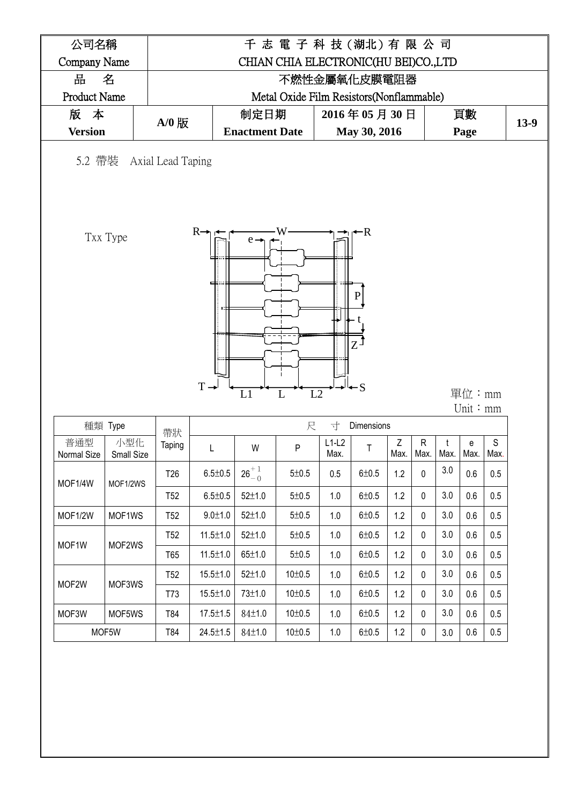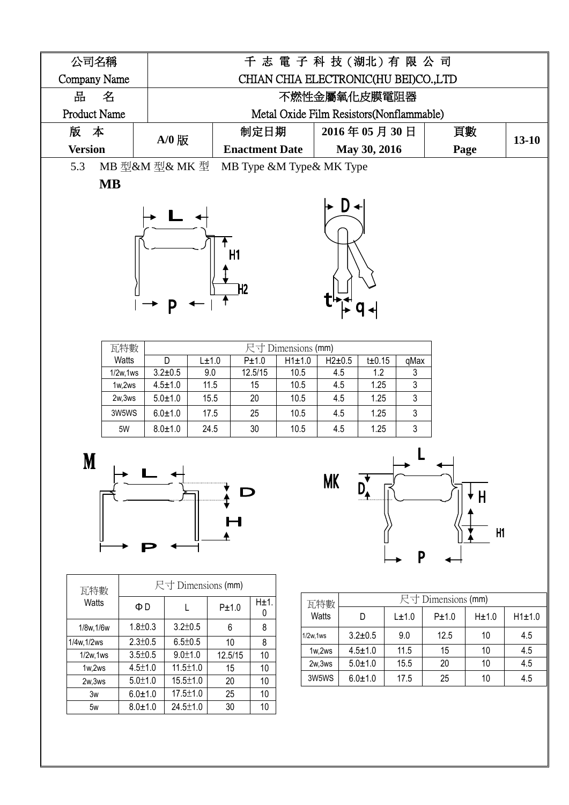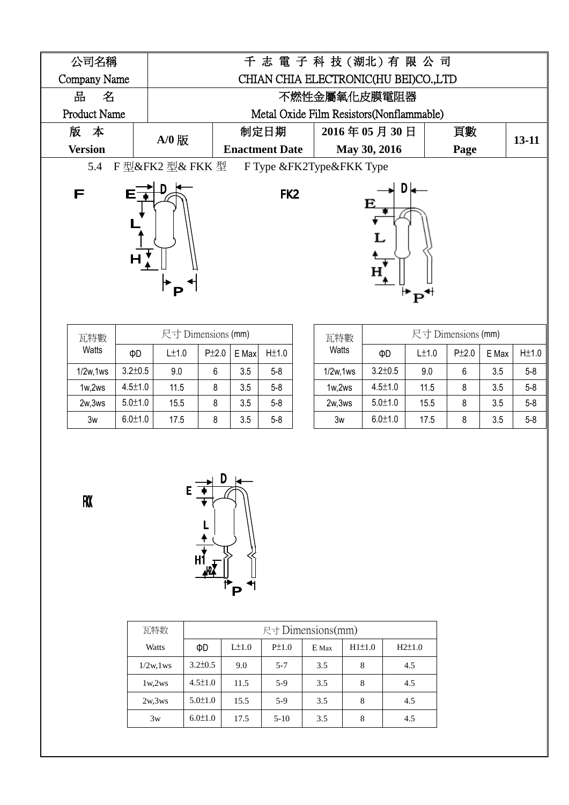

| 瓦特數       | 尺寸 Dimensions (mm) |       |       |       |           |  |  |  |  |
|-----------|--------------------|-------|-------|-------|-----------|--|--|--|--|
| Watts     | ФD                 | L±1.0 | P±2.0 | E Max | $H\pm1.0$ |  |  |  |  |
| 1/2w, 1ws | $3.2 \pm 0.5$      | 9.0   | 6     | 3.5   | $5 - 8$   |  |  |  |  |
| 1w,2ws    | $4.5 + 1.0$        | 11.5  | 8     | 3.5   | $5 - 8$   |  |  |  |  |
| 2w,3ws    | $5.0 \pm 1.0$      | 15.5  | 8     | 3.5   | $5-8$     |  |  |  |  |
| 3w        | $6.0 + 1.0$        | 17.5  |       | 3.5   | $5 - 8$   |  |  |  |  |

| 瓦特數       | 尺寸 Dimensions (mm) |       |       |       |         |  |  |  |  |
|-----------|--------------------|-------|-------|-------|---------|--|--|--|--|
| Watts     | ФD                 | L±1.0 | P±2.0 | E Max | H±1.0   |  |  |  |  |
| 1/2w, 1ws | $3.2 \pm 0.5$      | 9.0   | 6     | 3.5   | $5 - 8$ |  |  |  |  |
| 1w,2ws    | $4.5 + 1.0$        | 11.5  | 8     | 3.5   | $5 - 8$ |  |  |  |  |
| 2w,3ws    | $5.0 + 1.0$        | 15.5  | 8     | 3.5   | $5 - 8$ |  |  |  |  |
| 3w        | $6.0 + 1.0$        | 17.5  | 8     | 3.5   | $5 - 8$ |  |  |  |  |

**FKK** 



| 瓦特数          |               | $R +$ Dimensions(mm) |            |       |        |            |  |  |  |  |
|--------------|---------------|----------------------|------------|-------|--------|------------|--|--|--|--|
| Watts        | ФD            | $L\pm1.0$            | $P\pm 1.0$ | E Max | H1±1.0 | $H2\pm1.0$ |  |  |  |  |
| $1/2w$ , 1ws | $3.2 \pm 0.5$ | 9.0                  | $5 - 7$    | 3.5   | 8      | 4.5        |  |  |  |  |
| 1w,2ws       | $4.5 \pm 1.0$ | 11.5                 | $5-9$      | 3.5   | 8      | 4.5        |  |  |  |  |
| 2w,3ws       | $5.0 \pm 1.0$ | 15.5                 | $5-9$      | 3.5   | 8      | 4.5        |  |  |  |  |
| 3w           | $6.0 \pm 1.0$ | 17.5                 | $5-10$     | 3.5   | 8      | 4.5        |  |  |  |  |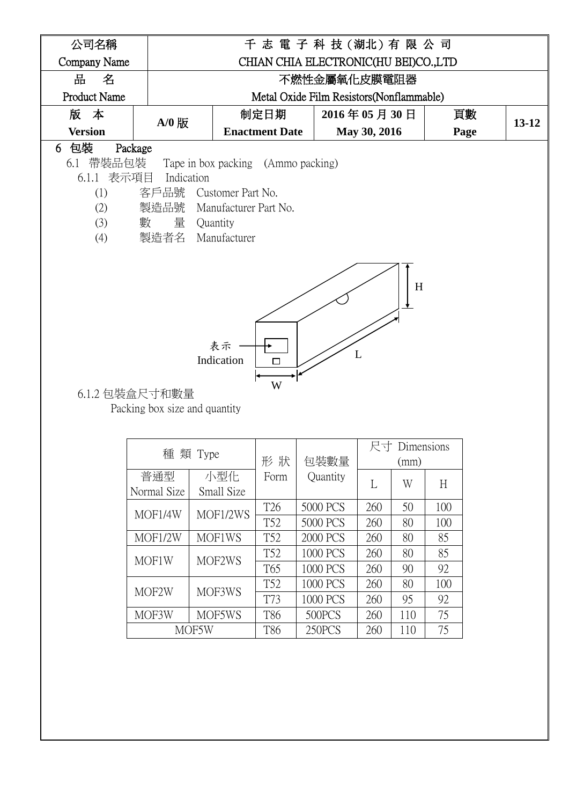

MOF2W MOF3WS T52 1000 PCS 260 80 100

MOF3W | MOF5WS | T86 | 500PCS | 260 | 110 | 75

MOF5W | T86 | 250PCS | 260 | 110 | 75

T73 | 1000 PCS | 260 | 95 | 92